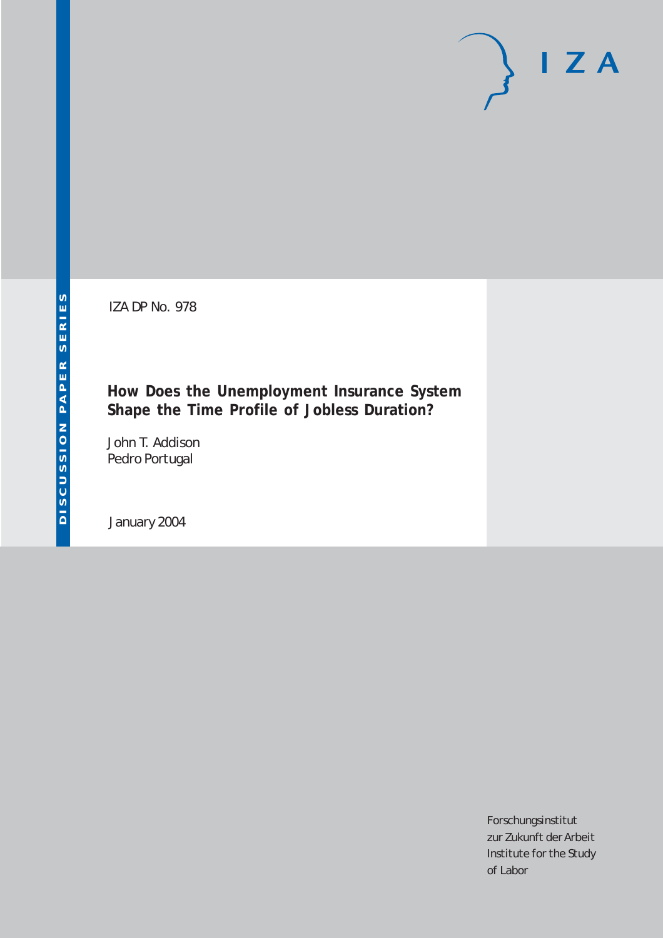IZA DP No. 978

### **How Does the Unemployment Insurance System Shape the Time Profile of Jobless Duration?**

John T. Addison Pedro Portugal

January 2004

Forschungsinstitut zur Zukunft der Arbeit Institute for the Study of Labor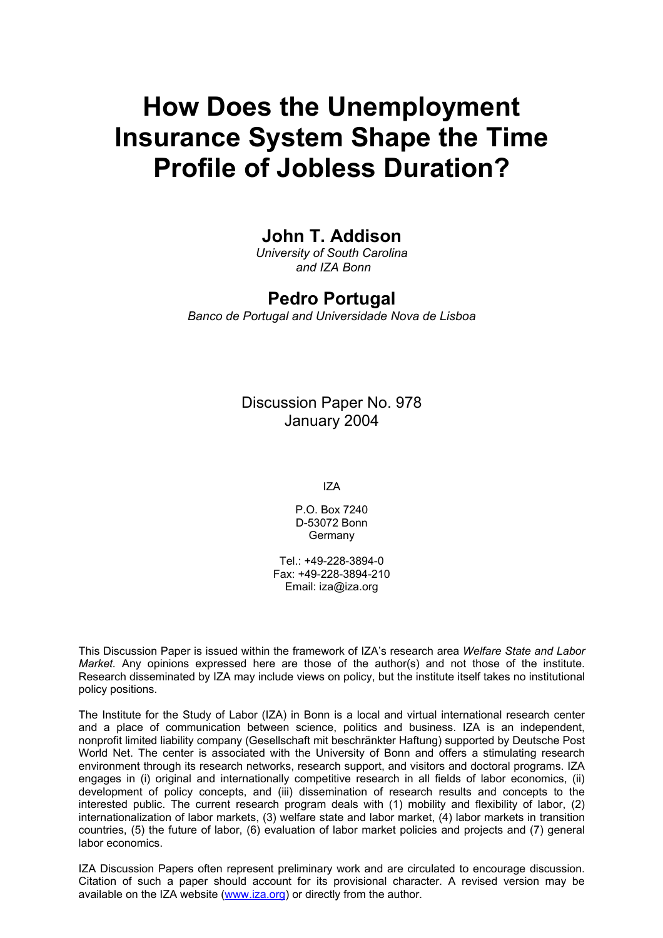# **How Does the Unemployment Insurance System Shape the Time Profile of Jobless Duration?**

## **John T. Addison**

*University of South Carolina and IZA Bonn* 

### **Pedro Portugal**

*Banco de Portugal and Universidade Nova de Lisboa*

Discussion Paper No. 978 January 2004

IZA

P.O. Box 7240 D-53072 Bonn **Germany** 

Tel.: +49-228-3894-0 Fax: +49-228-3894-210 Email: [iza@iza.org](mailto:iza@iza.org)

This Discussion Paper is issued within the framework of IZA's research area *Welfare State and Labor Market.* Any opinions expressed here are those of the author(s) and not those of the institute. Research disseminated by IZA may include views on policy, but the institute itself takes no institutional policy positions.

The Institute for the Study of Labor (IZA) in Bonn is a local and virtual international research center and a place of communication between science, politics and business. IZA is an independent, nonprofit limited liability company (Gesellschaft mit beschränkter Haftung) supported by Deutsche Post World Net. The center is associated with the University of Bonn and offers a stimulating research environment through its research networks, research support, and visitors and doctoral programs. IZA engages in (i) original and internationally competitive research in all fields of labor economics, (ii) development of policy concepts, and (iii) dissemination of research results and concepts to the interested public. The current research program deals with (1) mobility and flexibility of labor, (2) internationalization of labor markets, (3) welfare state and labor market, (4) labor markets in transition countries, (5) the future of labor, (6) evaluation of labor market policies and projects and (7) general labor economics.

IZA Discussion Papers often represent preliminary work and are circulated to encourage discussion. Citation of such a paper should account for its provisional character. A revised version may be available on the IZA website ([www.iza.org](http://www.iza.org/)) or directly from the author.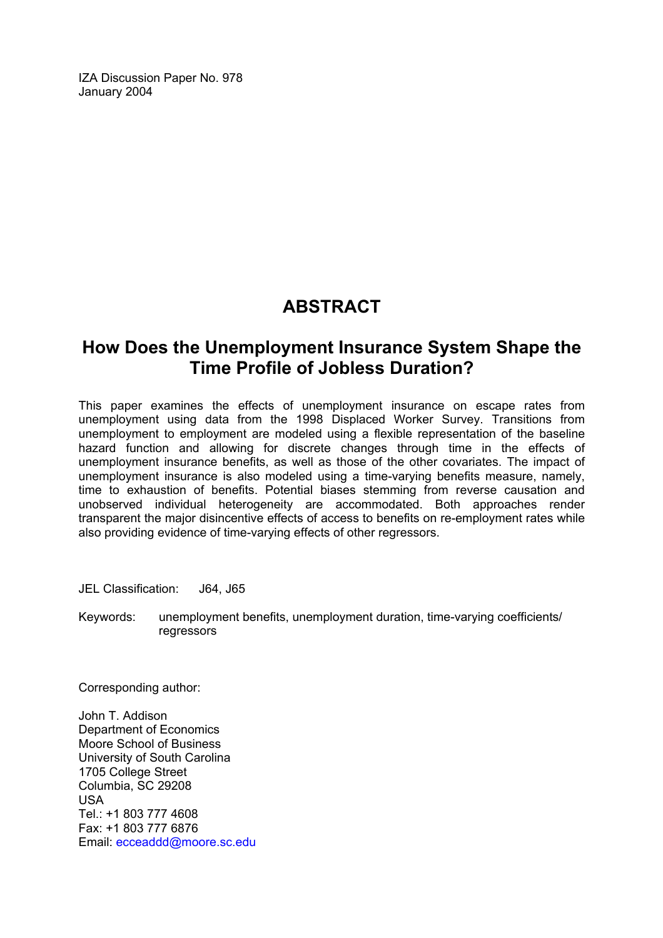IZA Discussion Paper No. 978 January 2004

# **ABSTRACT**

## **How Does the Unemployment Insurance System Shape the Time Profile of Jobless Duration?**

This paper examines the effects of unemployment insurance on escape rates from unemployment using data from the 1998 Displaced Worker Survey. Transitions from unemployment to employment are modeled using a flexible representation of the baseline hazard function and allowing for discrete changes through time in the effects of unemployment insurance benefits, as well as those of the other covariates. The impact of unemployment insurance is also modeled using a time-varying benefits measure, namely, time to exhaustion of benefits. Potential biases stemming from reverse causation and unobserved individual heterogeneity are accommodated. Both approaches render transparent the major disincentive effects of access to benefits on re-employment rates while also providing evidence of time-varying effects of other regressors.

JEL Classification: J64, J65

Keywords: unemployment benefits, unemployment duration, time-varying coefficients/ regressors

Corresponding author:

John T. Addison Department of Economics Moore School of Business University of South Carolina 1705 College Street Columbia, SC 29208 USA Tel.: +1 803 777 4608 Fax: +1 803 777 6876 Email: [ecceaddd@moore.sc.edu](mailto:ecceaddd@moore.sc.edu)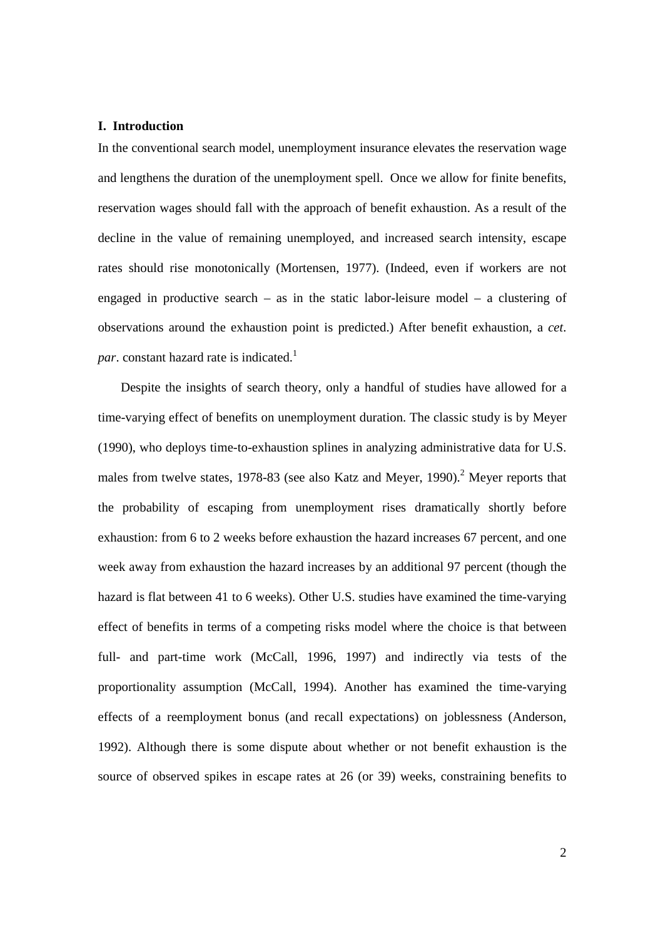#### **I. Introduction**

In the conventional search model, unemployment insurance elevates the reservation wage and lengthens the duration of the unemployment spell. Once we allow for finite benefits, reservation wages should fall with the approach of benefit exhaustion. As a result of the decline in the value of remaining unemployed, and increased search intensity, escape rates should rise monotonically (Mortensen, 1977). (Indeed, even if workers are not engaged in productive search – as in the static labor-leisure model – a clustering of observations around the exhaustion point is predicted.) After benefit exhaustion, a *cet*. *par*. constant hazard rate is indicated.<sup>1</sup>

 Despite the insights of search theory, only a handful of studies have allowed for a time-varying effect of benefits on unemployment duration. The classic study is by Meyer (1990), who deploys time-to-exhaustion splines in analyzing administrative data for U.S. males from twelve states, 1978-83 (see also Katz and Meyer, 1990).<sup>2</sup> Meyer reports that the probability of escaping from unemployment rises dramatically shortly before exhaustion: from 6 to 2 weeks before exhaustion the hazard increases 67 percent, and one week away from exhaustion the hazard increases by an additional 97 percent (though the hazard is flat between 41 to 6 weeks). Other U.S. studies have examined the time-varying effect of benefits in terms of a competing risks model where the choice is that between full- and part-time work (McCall, 1996, 1997) and indirectly via tests of the proportionality assumption (McCall, 1994). Another has examined the time-varying effects of a reemployment bonus (and recall expectations) on joblessness (Anderson, 1992). Although there is some dispute about whether or not benefit exhaustion is the source of observed spikes in escape rates at 26 (or 39) weeks, constraining benefits to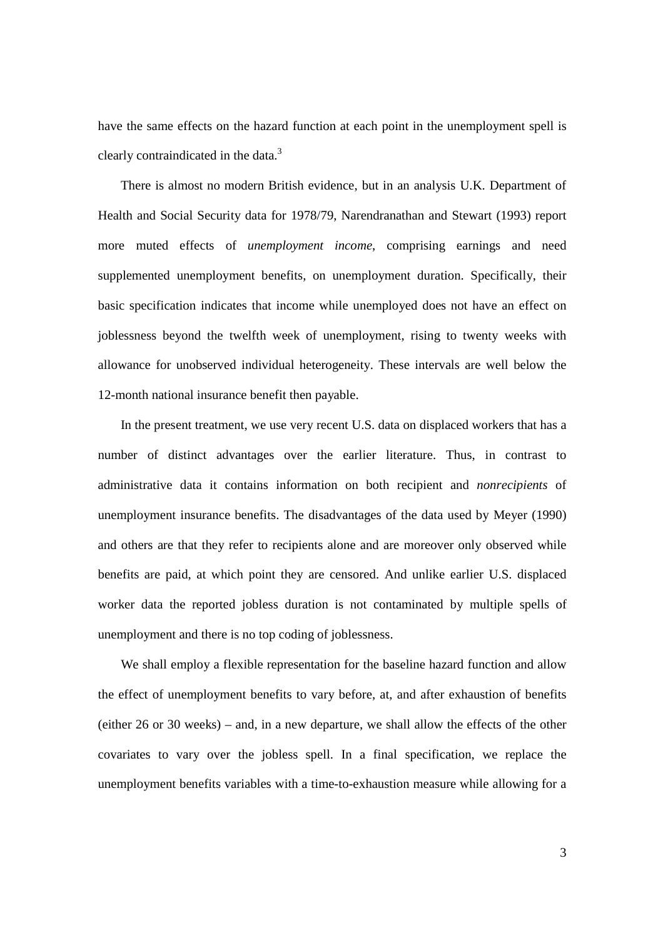have the same effects on the hazard function at each point in the unemployment spell is clearly contraindicated in the data.3

 There is almost no modern British evidence, but in an analysis U.K. Department of Health and Social Security data for 1978/79, Narendranathan and Stewart (1993) report more muted effects of *unemployment income*, comprising earnings and need supplemented unemployment benefits, on unemployment duration. Specifically, their basic specification indicates that income while unemployed does not have an effect on joblessness beyond the twelfth week of unemployment, rising to twenty weeks with allowance for unobserved individual heterogeneity. These intervals are well below the 12-month national insurance benefit then payable.

 In the present treatment, we use very recent U.S. data on displaced workers that has a number of distinct advantages over the earlier literature. Thus, in contrast to administrative data it contains information on both recipient and *nonrecipients* of unemployment insurance benefits. The disadvantages of the data used by Meyer (1990) and others are that they refer to recipients alone and are moreover only observed while benefits are paid, at which point they are censored. And unlike earlier U.S. displaced worker data the reported jobless duration is not contaminated by multiple spells of unemployment and there is no top coding of joblessness.

 We shall employ a flexible representation for the baseline hazard function and allow the effect of unemployment benefits to vary before, at, and after exhaustion of benefits (either 26 or 30 weeks) – and, in a new departure, we shall allow the effects of the other covariates to vary over the jobless spell. In a final specification, we replace the unemployment benefits variables with a time-to-exhaustion measure while allowing for a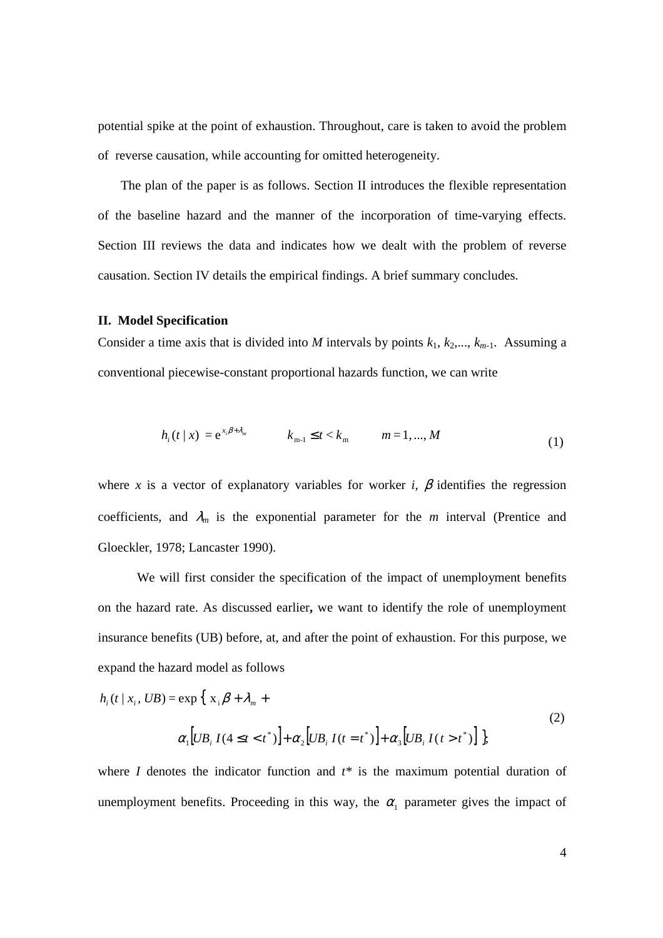potential spike at the point of exhaustion. Throughout, care is taken to avoid the problem of reverse causation, while accounting for omitted heterogeneity.

 The plan of the paper is as follows. Section II introduces the flexible representation of the baseline hazard and the manner of the incorporation of time-varying effects. Section III reviews the data and indicates how we dealt with the problem of reverse causation. Section IV details the empirical findings. A brief summary concludes.

#### **II. Model Specification**

Consider a time axis that is divided into *M* intervals by points  $k_1, k_2,..., k_{m-1}$ . Assuming a conventional piecewise-constant proportional hazards function, we can write

$$
h_i(t/x) = e^{x_i \beta + \lambda_m} \qquad k_{m-1} \le t < k_m \qquad m = 1, ..., M \tag{1}
$$

where *x* is a vector of explanatory variables for worker *i*,  $\beta$  identifies the regression coefficients, and  $\lambda_m$  is the exponential parameter for the *m* interval (Prentice and Gloeckler, 1978; Lancaster 1990).

 We will first consider the specification of the impact of unemployment benefits on the hazard rate. As discussed earlier**,** we want to identify the role of unemployment insurance benefits (UB) before, at, and after the point of exhaustion. For this purpose, we expand the hazard model as follows

$$
h_i(t \mid x_i, UB) = \exp\left\{ x_i \beta + \lambda_m + \alpha_2 \left[ UB_i I(t = t^*) \right] + \alpha_3 \left[ UB_i I(t > t^*) \right] \right\},\tag{2}
$$

where *I* denotes the indicator function and  $t^*$  is the maximum potential duration of unemployment benefits. Proceeding in this way, the  $\alpha_1$  parameter gives the impact of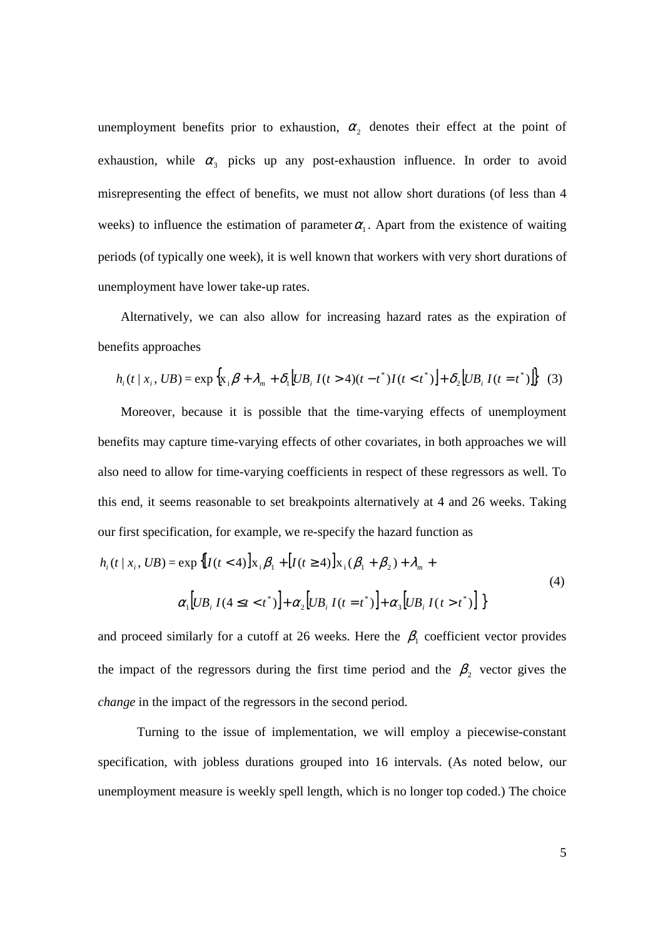unemployment benefits prior to exhaustion,  $\alpha_2$  denotes their effect at the point of exhaustion, while  $\alpha_3$  picks up any post-exhaustion influence. In order to avoid misrepresenting the effect of benefits, we must not allow short durations (of less than 4 weeks) to influence the estimation of parameter  $\alpha_1$ . Apart from the existence of waiting periods (of typically one week), it is well known that workers with very short durations of unemployment have lower take-up rates.

 Alternatively, we can also allow for increasing hazard rates as the expiration of benefits approaches

$$
h_i(t \mid x_i, UB) = \exp\left\{x_i \beta + \lambda_m + \delta_1 \left[UB_i I(t > 4)(t - t^*)I(t < t^*)\right] + \delta_2 \left[UB_i I(t = t^*)\right]\right\} \tag{3}
$$

 Moreover, because it is possible that the time-varying effects of unemployment benefits may capture time-varying effects of other covariates, in both approaches we will also need to allow for time-varying coefficients in respect of these regressors as well. To this end, it seems reasonable to set breakpoints alternatively at 4 and 26 weeks. Taking our first specification, for example, we re-specify the hazard function as

$$
h_i(t \mid x_i, UB) = \exp \{[I(t < 4)]x_i \beta_1 + [I(t \ge 4)]x_i(\beta_1 + \beta_2) + \lambda_m + \alpha_1[UB_i I(4 \le t < t^*)] + \alpha_2[UB_i I(t = t^*)] + \alpha_3[UB_i I(t > t^*)]\}
$$
\n
$$
(4)
$$

and proceed similarly for a cutoff at 26 weeks. Here the  $\beta_1$  coefficient vector provides the impact of the regressors during the first time period and the  $\beta_2$  vector gives the *change* in the impact of the regressors in the second period.

 Turning to the issue of implementation, we will employ a piecewise-constant specification, with jobless durations grouped into 16 intervals. (As noted below, our unemployment measure is weekly spell length, which is no longer top coded.) The choice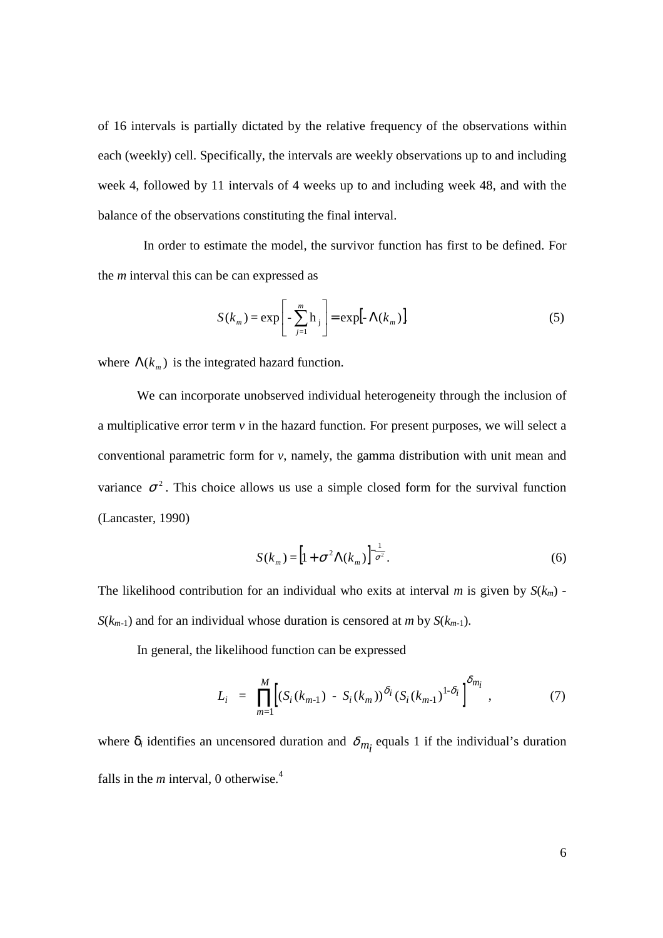of 16 intervals is partially dictated by the relative frequency of the observations within each (weekly) cell. Specifically, the intervals are weekly observations up to and including week 4, followed by 11 intervals of 4 weeks up to and including week 48, and with the balance of the observations constituting the final interval.

 In order to estimate the model, the survivor function has first to be defined. For the *m* interval this can be can expressed as

$$
S(k_m) = \exp\left[-\sum_{j=1}^{m} h_j\right] = \exp[-\Lambda(k_m)],
$$
\n(5)

where  $\Lambda(k_m)$  is the integrated hazard function.

We can incorporate unobserved individual heterogeneity through the inclusion of a multiplicative error term *v* in the hazard function. For present purposes, we will select a conventional parametric form for *v*, namely, the gamma distribution with unit mean and variance  $\sigma^2$ . This choice allows us use a simple closed form for the survival function (Lancaster, 1990)

$$
S(k_m) = \left[1 + \sigma^2 \Lambda(k_m)\right]^{-\frac{1}{\sigma^2}}.
$$
 (6)

The likelihood contribution for an individual who exits at interval *m* is given by  $S(k_m)$  -*S*( $k_{m-1}$ ) and for an individual whose duration is censored at *m* by *S*( $k_{m-1}$ ).

In general, the likelihood function can be expressed

$$
L_i = \prod_{m=1}^{M} \Big[ (S_i(k_{m-1}) - S_i(k_m))^{\delta_i} (S_i(k_{m-1})^{1-\delta_i})^{\delta_{m_i}}, \tag{7}
$$

where  $\delta_i$  identifies an uncensored duration and  $\delta_{m_i}$  equals 1 if the individual's duration falls in the  $m$  interval, 0 otherwise.<sup>4</sup>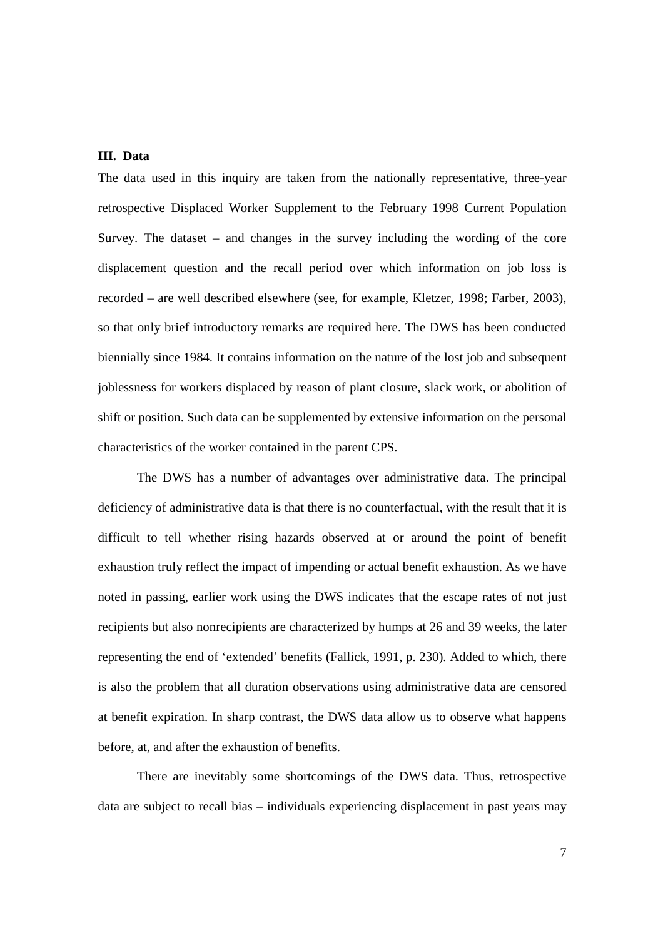#### **III. Data**

The data used in this inquiry are taken from the nationally representative, three-year retrospective Displaced Worker Supplement to the February 1998 Current Population Survey. The dataset – and changes in the survey including the wording of the core displacement question and the recall period over which information on job loss is recorded – are well described elsewhere (see, for example, Kletzer, 1998; Farber, 2003), so that only brief introductory remarks are required here. The DWS has been conducted biennially since 1984. It contains information on the nature of the lost job and subsequent joblessness for workers displaced by reason of plant closure, slack work, or abolition of shift or position. Such data can be supplemented by extensive information on the personal characteristics of the worker contained in the parent CPS.

 The DWS has a number of advantages over administrative data. The principal deficiency of administrative data is that there is no counterfactual, with the result that it is difficult to tell whether rising hazards observed at or around the point of benefit exhaustion truly reflect the impact of impending or actual benefit exhaustion. As we have noted in passing, earlier work using the DWS indicates that the escape rates of not just recipients but also nonrecipients are characterized by humps at 26 and 39 weeks, the later representing the end of 'extended' benefits (Fallick, 1991, p. 230). Added to which, there is also the problem that all duration observations using administrative data are censored at benefit expiration. In sharp contrast, the DWS data allow us to observe what happens before, at, and after the exhaustion of benefits.

 There are inevitably some shortcomings of the DWS data. Thus, retrospective data are subject to recall bias – individuals experiencing displacement in past years may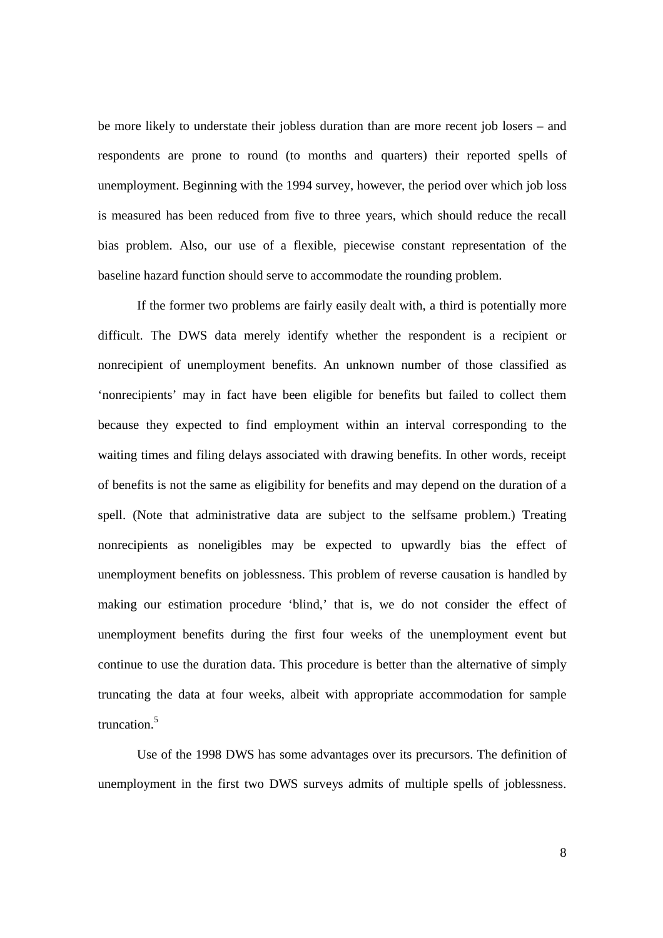be more likely to understate their jobless duration than are more recent job losers – and respondents are prone to round (to months and quarters) their reported spells of unemployment. Beginning with the 1994 survey, however, the period over which job loss is measured has been reduced from five to three years, which should reduce the recall bias problem. Also, our use of a flexible, piecewise constant representation of the baseline hazard function should serve to accommodate the rounding problem.

 If the former two problems are fairly easily dealt with, a third is potentially more difficult. The DWS data merely identify whether the respondent is a recipient or nonrecipient of unemployment benefits. An unknown number of those classified as 'nonrecipients' may in fact have been eligible for benefits but failed to collect them because they expected to find employment within an interval corresponding to the waiting times and filing delays associated with drawing benefits. In other words, receipt of benefits is not the same as eligibility for benefits and may depend on the duration of a spell. (Note that administrative data are subject to the selfsame problem.) Treating nonrecipients as noneligibles may be expected to upwardly bias the effect of unemployment benefits on joblessness. This problem of reverse causation is handled by making our estimation procedure 'blind,' that is, we do not consider the effect of unemployment benefits during the first four weeks of the unemployment event but continue to use the duration data. This procedure is better than the alternative of simply truncating the data at four weeks, albeit with appropriate accommodation for sample truncation.5

Use of the 1998 DWS has some advantages over its precursors. The definition of unemployment in the first two DWS surveys admits of multiple spells of joblessness.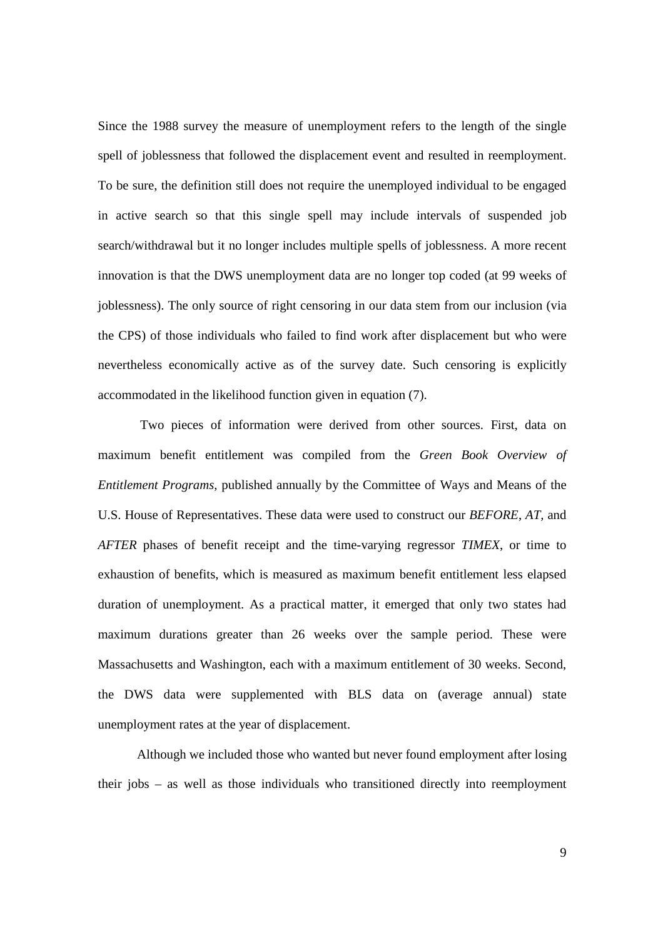Since the 1988 survey the measure of unemployment refers to the length of the single spell of joblessness that followed the displacement event and resulted in reemployment. To be sure, the definition still does not require the unemployed individual to be engaged in active search so that this single spell may include intervals of suspended job search/withdrawal but it no longer includes multiple spells of joblessness. A more recent innovation is that the DWS unemployment data are no longer top coded (at 99 weeks of joblessness). The only source of right censoring in our data stem from our inclusion (via the CPS) of those individuals who failed to find work after displacement but who were nevertheless economically active as of the survey date. Such censoring is explicitly accommodated in the likelihood function given in equation (7).

 Two pieces of information were derived from other sources. First, data on maximum benefit entitlement was compiled from the *Green Book Overview of Entitlement Programs*, published annually by the Committee of Ways and Means of the U.S. House of Representatives. These data were used to construct our *BEFORE*, *AT,* and *AFTER* phases of benefit receipt and the time-varying regressor *TIMEX*, or time to exhaustion of benefits, which is measured as maximum benefit entitlement less elapsed duration of unemployment. As a practical matter, it emerged that only two states had maximum durations greater than 26 weeks over the sample period. These were Massachusetts and Washington, each with a maximum entitlement of 30 weeks. Second, the DWS data were supplemented with BLS data on (average annual) state unemployment rates at the year of displacement.

Although we included those who wanted but never found employment after losing their jobs – as well as those individuals who transitioned directly into reemployment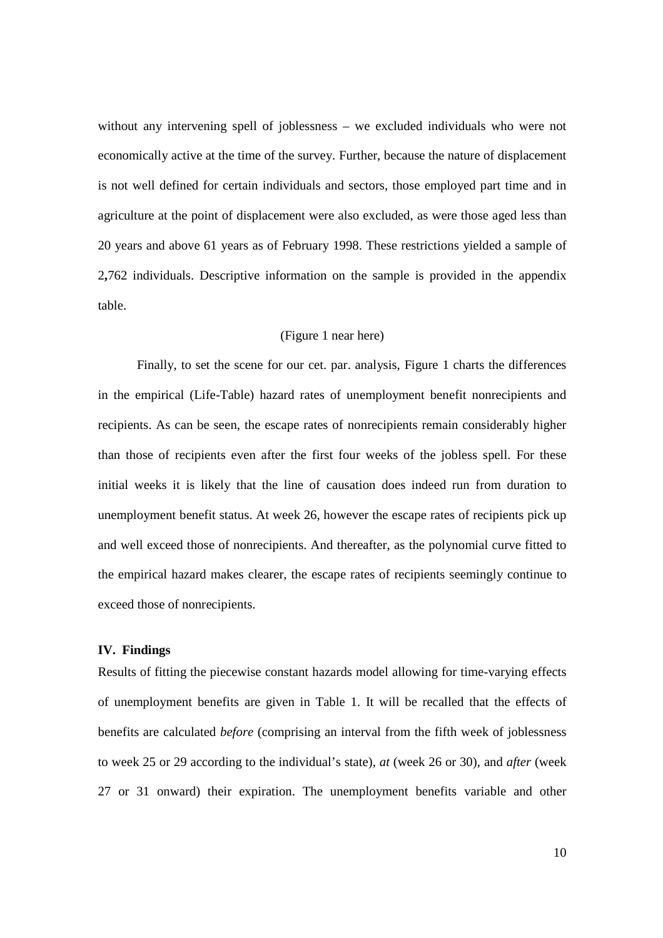without any intervening spell of joblessness – we excluded individuals who were not economically active at the time of the survey. Further, because the nature of displacement is not well defined for certain individuals and sectors, those employed part time and in agriculture at the point of displacement were also excluded, as were those aged less than 20 years and above 61 years as of February 1998. These restrictions yielded a sample of 2**,**762 individuals. Descriptive information on the sample is provided in the appendix table.

#### (Figure 1 near here)

 Finally, to set the scene for our cet. par. analysis, Figure 1 charts the differences in the empirical (Life-Table) hazard rates of unemployment benefit nonrecipients and recipients. As can be seen, the escape rates of nonrecipients remain considerably higher than those of recipients even after the first four weeks of the jobless spell. For these initial weeks it is likely that the line of causation does indeed run from duration to unemployment benefit status. At week 26, however the escape rates of recipients pick up and well exceed those of nonrecipients. And thereafter, as the polynomial curve fitted to the empirical hazard makes clearer, the escape rates of recipients seemingly continue to exceed those of nonrecipients.

#### **IV. Findings**

Results of fitting the piecewise constant hazards model allowing for time-varying effects of unemployment benefits are given in Table 1. It will be recalled that the effects of benefits are calculated *before* (comprising an interval from the fifth week of joblessness to week 25 or 29 according to the individual's state), *at* (week 26 or 30), and *after* (week 27 or 31 onward) their expiration. The unemployment benefits variable and other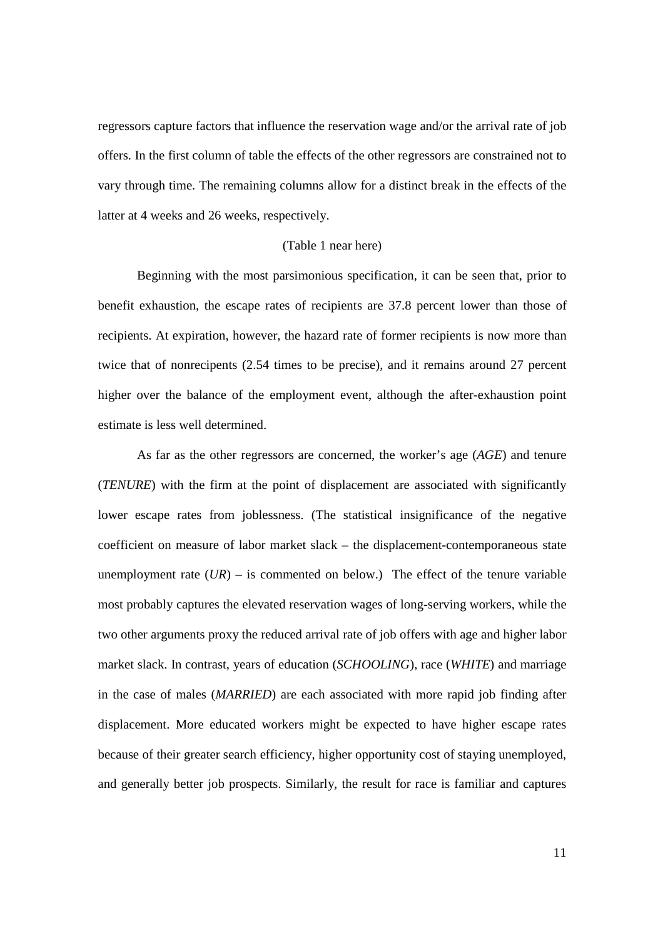regressors capture factors that influence the reservation wage and/or the arrival rate of job offers. In the first column of table the effects of the other regressors are constrained not to vary through time. The remaining columns allow for a distinct break in the effects of the latter at 4 weeks and 26 weeks, respectively.

#### (Table 1 near here)

Beginning with the most parsimonious specification, it can be seen that, prior to benefit exhaustion, the escape rates of recipients are 37.8 percent lower than those of recipients. At expiration, however, the hazard rate of former recipients is now more than twice that of nonrecipents (2.54 times to be precise), and it remains around 27 percent higher over the balance of the employment event, although the after-exhaustion point estimate is less well determined.

As far as the other regressors are concerned, the worker's age (*AGE*) and tenure (*TENURE*) with the firm at the point of displacement are associated with significantly lower escape rates from joblessness. (The statistical insignificance of the negative coefficient on measure of labor market slack – the displacement-contemporaneous state unemployment rate  $(UR)$  – is commented on below.) The effect of the tenure variable most probably captures the elevated reservation wages of long-serving workers, while the two other arguments proxy the reduced arrival rate of job offers with age and higher labor market slack. In contrast, years of education (*SCHOOLING*), race (*WHITE*) and marriage in the case of males (*MARRIED*) are each associated with more rapid job finding after displacement. More educated workers might be expected to have higher escape rates because of their greater search efficiency, higher opportunity cost of staying unemployed, and generally better job prospects. Similarly, the result for race is familiar and captures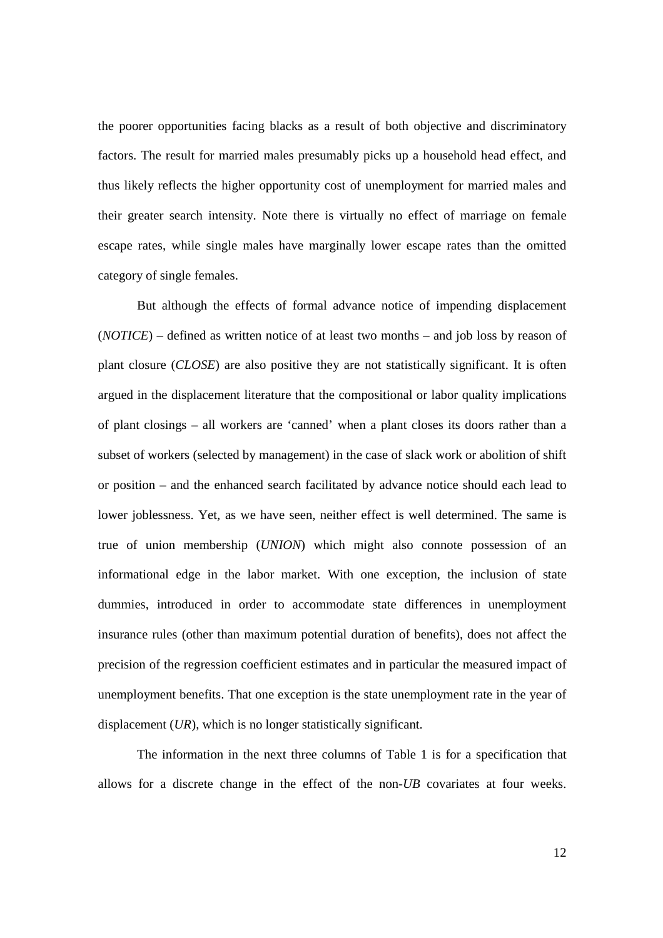the poorer opportunities facing blacks as a result of both objective and discriminatory factors. The result for married males presumably picks up a household head effect, and thus likely reflects the higher opportunity cost of unemployment for married males and their greater search intensity. Note there is virtually no effect of marriage on female escape rates, while single males have marginally lower escape rates than the omitted category of single females.

But although the effects of formal advance notice of impending displacement (*NOTICE*) – defined as written notice of at least two months – and job loss by reason of plant closure (*CLOSE*) are also positive they are not statistically significant. It is often argued in the displacement literature that the compositional or labor quality implications of plant closings – all workers are 'canned' when a plant closes its doors rather than a subset of workers (selected by management) in the case of slack work or abolition of shift or position – and the enhanced search facilitated by advance notice should each lead to lower joblessness. Yet, as we have seen, neither effect is well determined. The same is true of union membership (*UNION*) which might also connote possession of an informational edge in the labor market. With one exception, the inclusion of state dummies, introduced in order to accommodate state differences in unemployment insurance rules (other than maximum potential duration of benefits), does not affect the precision of the regression coefficient estimates and in particular the measured impact of unemployment benefits. That one exception is the state unemployment rate in the year of displacement (*UR*), which is no longer statistically significant.

 The information in the next three columns of Table 1 is for a specification that allows for a discrete change in the effect of the non-*UB* covariates at four weeks.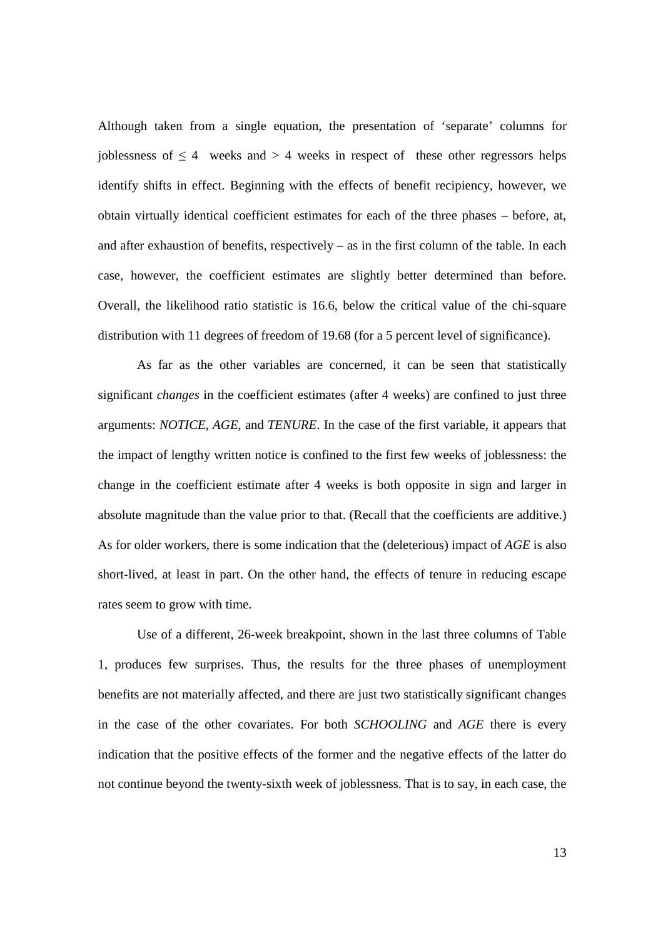Although taken from a single equation, the presentation of 'separate' columns for joblessness of  $\leq 4$  weeks and  $> 4$  weeks in respect of these other regressors helps identify shifts in effect. Beginning with the effects of benefit recipiency, however, we obtain virtually identical coefficient estimates for each of the three phases – before, at, and after exhaustion of benefits, respectively – as in the first column of the table. In each case, however, the coefficient estimates are slightly better determined than before. Overall, the likelihood ratio statistic is 16.6, below the critical value of the chi-square distribution with 11 degrees of freedom of 19.68 (for a 5 percent level of significance).

As far as the other variables are concerned, it can be seen that statistically significant *changes* in the coefficient estimates (after 4 weeks) are confined to just three arguments: *NOTICE*, *AGE*, and *TENURE*. In the case of the first variable, it appears that the impact of lengthy written notice is confined to the first few weeks of joblessness: the change in the coefficient estimate after 4 weeks is both opposite in sign and larger in absolute magnitude than the value prior to that. (Recall that the coefficients are additive.) As for older workers, there is some indication that the (deleterious) impact of *AGE* is also short-lived, at least in part. On the other hand, the effects of tenure in reducing escape rates seem to grow with time.

Use of a different, 26-week breakpoint, shown in the last three columns of Table 1, produces few surprises. Thus, the results for the three phases of unemployment benefits are not materially affected, and there are just two statistically significant changes in the case of the other covariates. For both *SCHOOLING* and *AGE* there is every indication that the positive effects of the former and the negative effects of the latter do not continue beyond the twenty-sixth week of joblessness. That is to say, in each case, the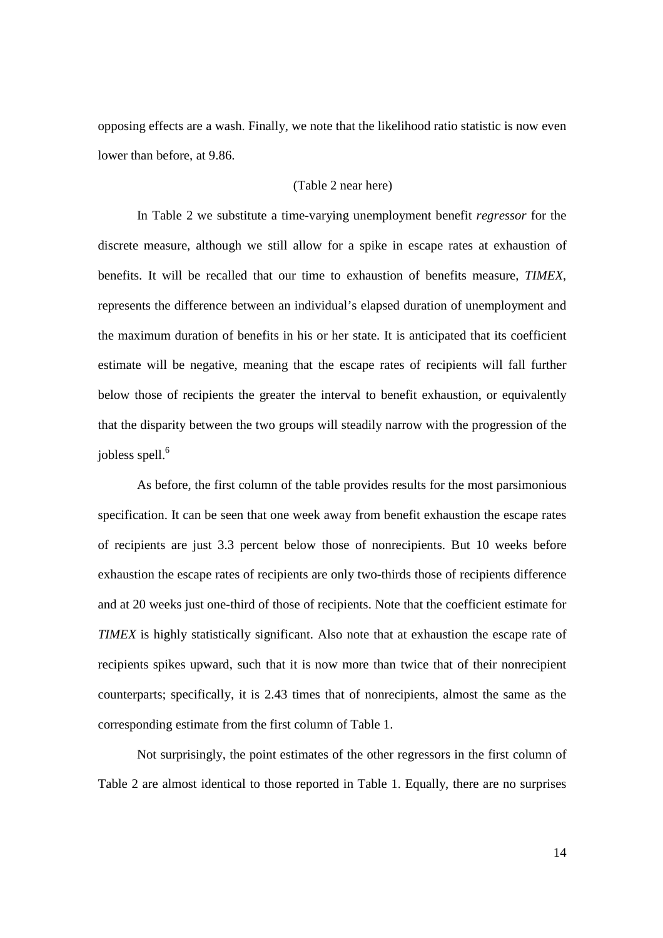opposing effects are a wash. Finally, we note that the likelihood ratio statistic is now even lower than before, at 9.86.

#### (Table 2 near here)

In Table 2 we substitute a time-varying unemployment benefit *regressor* for the discrete measure, although we still allow for a spike in escape rates at exhaustion of benefits. It will be recalled that our time to exhaustion of benefits measure, *TIMEX*, represents the difference between an individual's elapsed duration of unemployment and the maximum duration of benefits in his or her state. It is anticipated that its coefficient estimate will be negative, meaning that the escape rates of recipients will fall further below those of recipients the greater the interval to benefit exhaustion, or equivalently that the disparity between the two groups will steadily narrow with the progression of the jobless spell.<sup>6</sup>

As before, the first column of the table provides results for the most parsimonious specification. It can be seen that one week away from benefit exhaustion the escape rates of recipients are just 3.3 percent below those of nonrecipients. But 10 weeks before exhaustion the escape rates of recipients are only two-thirds those of recipients difference and at 20 weeks just one-third of those of recipients. Note that the coefficient estimate for *TIMEX* is highly statistically significant. Also note that at exhaustion the escape rate of recipients spikes upward, such that it is now more than twice that of their nonrecipient counterparts; specifically, it is 2.43 times that of nonrecipients, almost the same as the corresponding estimate from the first column of Table 1.

Not surprisingly, the point estimates of the other regressors in the first column of Table 2 are almost identical to those reported in Table 1. Equally, there are no surprises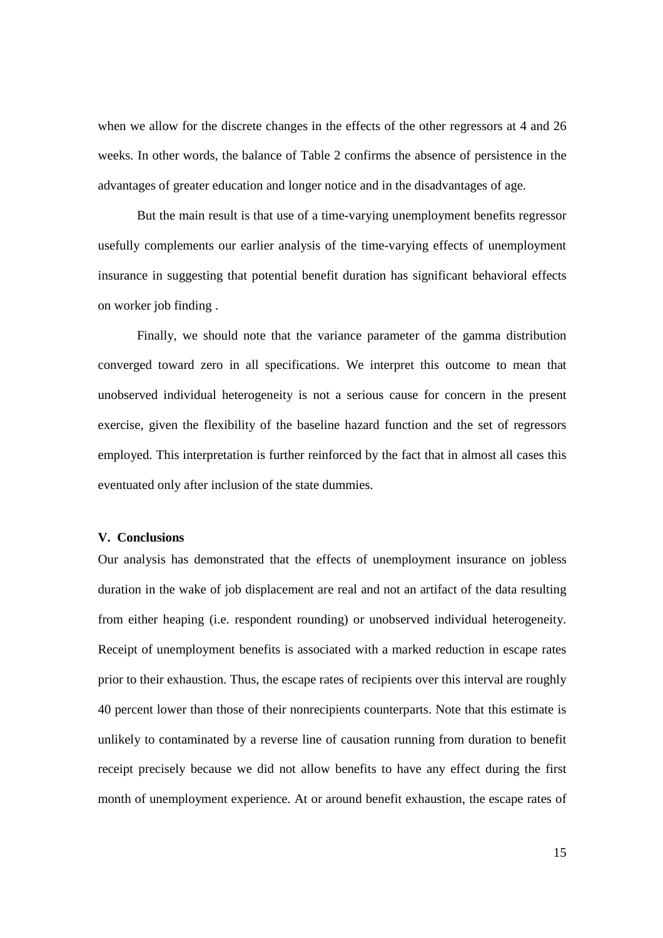when we allow for the discrete changes in the effects of the other regressors at 4 and 26 weeks. In other words, the balance of Table 2 confirms the absence of persistence in the advantages of greater education and longer notice and in the disadvantages of age.

But the main result is that use of a time-varying unemployment benefits regressor usefully complements our earlier analysis of the time-varying effects of unemployment insurance in suggesting that potential benefit duration has significant behavioral effects on worker job finding .

Finally, we should note that the variance parameter of the gamma distribution converged toward zero in all specifications. We interpret this outcome to mean that unobserved individual heterogeneity is not a serious cause for concern in the present exercise, given the flexibility of the baseline hazard function and the set of regressors employed. This interpretation is further reinforced by the fact that in almost all cases this eventuated only after inclusion of the state dummies.

#### **V. Conclusions**

Our analysis has demonstrated that the effects of unemployment insurance on jobless duration in the wake of job displacement are real and not an artifact of the data resulting from either heaping (i.e. respondent rounding) or unobserved individual heterogeneity. Receipt of unemployment benefits is associated with a marked reduction in escape rates prior to their exhaustion. Thus, the escape rates of recipients over this interval are roughly 40 percent lower than those of their nonrecipients counterparts. Note that this estimate is unlikely to contaminated by a reverse line of causation running from duration to benefit receipt precisely because we did not allow benefits to have any effect during the first month of unemployment experience. At or around benefit exhaustion, the escape rates of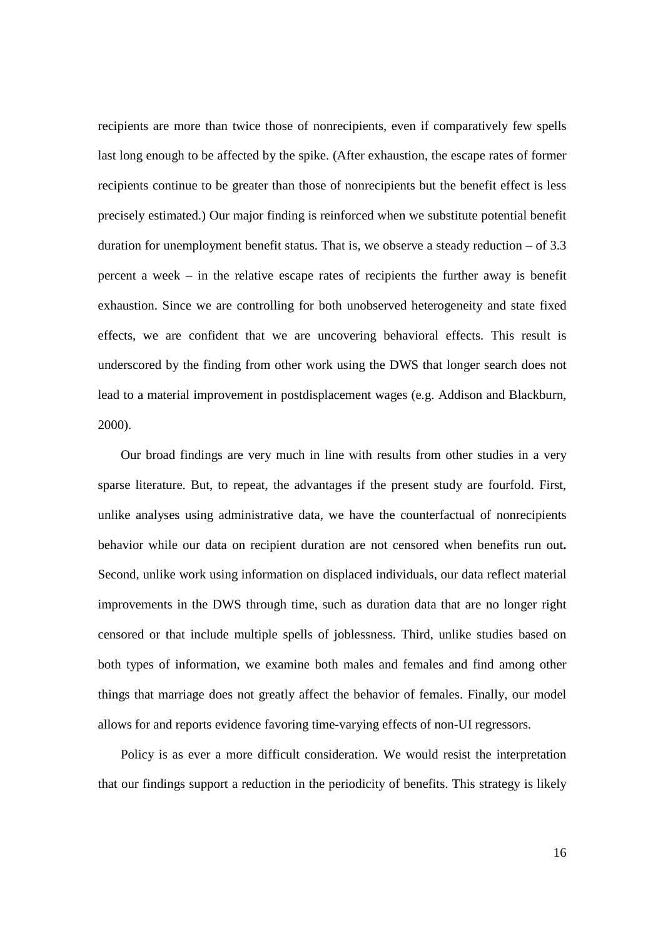recipients are more than twice those of nonrecipients, even if comparatively few spells last long enough to be affected by the spike. (After exhaustion, the escape rates of former recipients continue to be greater than those of nonrecipients but the benefit effect is less precisely estimated.) Our major finding is reinforced when we substitute potential benefit duration for unemployment benefit status. That is, we observe a steady reduction – of 3.3 percent a week – in the relative escape rates of recipients the further away is benefit exhaustion. Since we are controlling for both unobserved heterogeneity and state fixed effects, we are confident that we are uncovering behavioral effects. This result is underscored by the finding from other work using the DWS that longer search does not lead to a material improvement in postdisplacement wages (e.g. Addison and Blackburn, 2000).

 Our broad findings are very much in line with results from other studies in a very sparse literature. But, to repeat, the advantages if the present study are fourfold. First, unlike analyses using administrative data, we have the counterfactual of nonrecipients behavior while our data on recipient duration are not censored when benefits run out**.**  Second, unlike work using information on displaced individuals, our data reflect material improvements in the DWS through time, such as duration data that are no longer right censored or that include multiple spells of joblessness. Third, unlike studies based on both types of information, we examine both males and females and find among other things that marriage does not greatly affect the behavior of females. Finally, our model allows for and reports evidence favoring time-varying effects of non-UI regressors.

 Policy is as ever a more difficult consideration. We would resist the interpretation that our findings support a reduction in the periodicity of benefits. This strategy is likely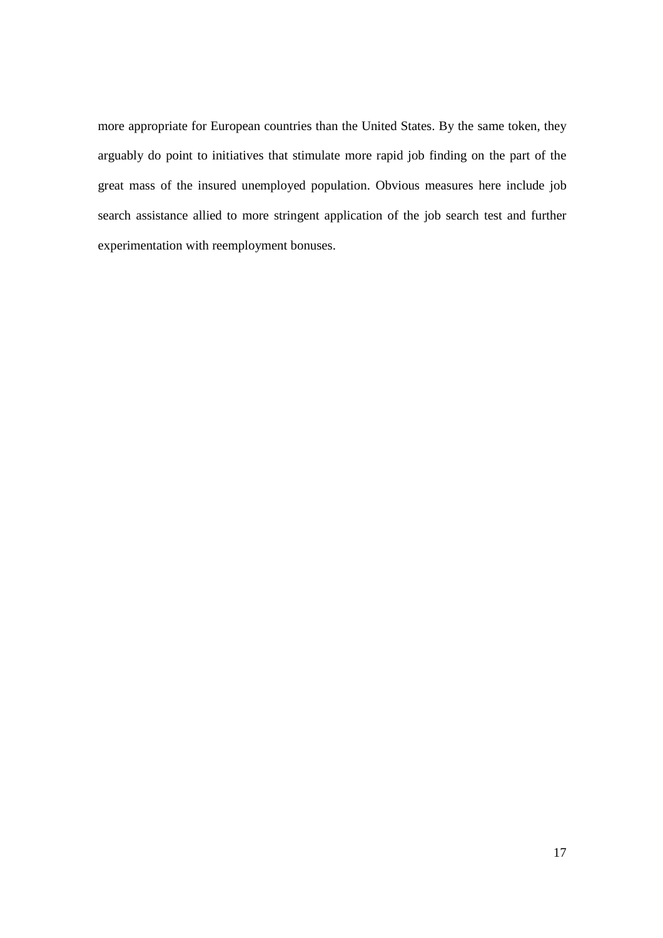more appropriate for European countries than the United States. By the same token, they arguably do point to initiatives that stimulate more rapid job finding on the part of the great mass of the insured unemployed population. Obvious measures here include job search assistance allied to more stringent application of the job search test and further experimentation with reemployment bonuses.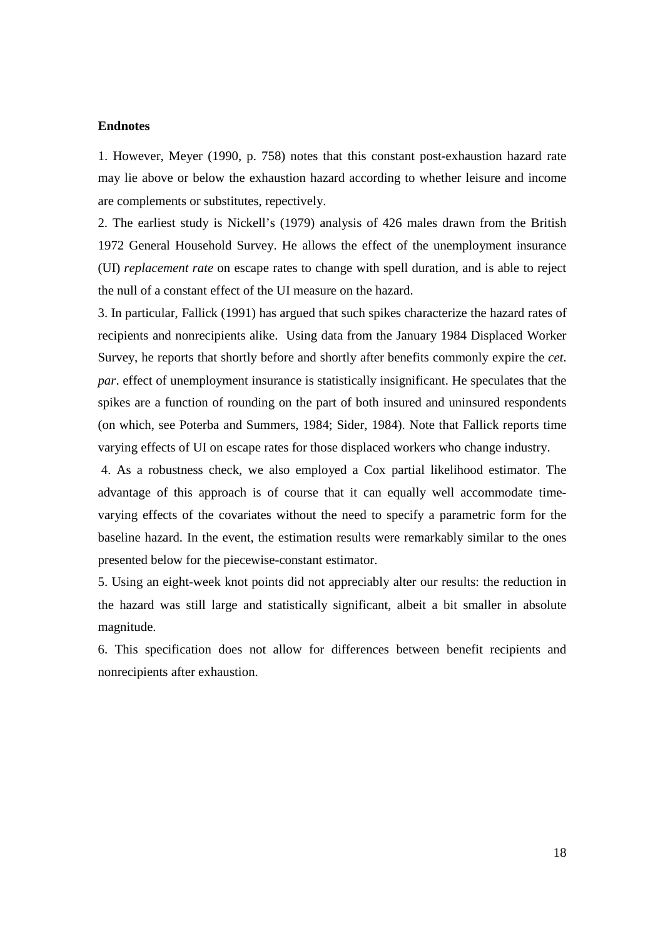#### **Endnotes**

1. However, Meyer (1990, p. 758) notes that this constant post-exhaustion hazard rate may lie above or below the exhaustion hazard according to whether leisure and income are complements or substitutes, repectively.

2. The earliest study is Nickell's (1979) analysis of 426 males drawn from the British 1972 General Household Survey. He allows the effect of the unemployment insurance (UI) *replacement rate* on escape rates to change with spell duration, and is able to reject the null of a constant effect of the UI measure on the hazard.

3. In particular, Fallick (1991) has argued that such spikes characterize the hazard rates of recipients and nonrecipients alike. Using data from the January 1984 Displaced Worker Survey, he reports that shortly before and shortly after benefits commonly expire the *cet*. *par*. effect of unemployment insurance is statistically insignificant. He speculates that the spikes are a function of rounding on the part of both insured and uninsured respondents (on which, see Poterba and Summers, 1984; Sider, 1984). Note that Fallick reports time varying effects of UI on escape rates for those displaced workers who change industry.

 4. As a robustness check, we also employed a Cox partial likelihood estimator. The advantage of this approach is of course that it can equally well accommodate timevarying effects of the covariates without the need to specify a parametric form for the baseline hazard. In the event, the estimation results were remarkably similar to the ones presented below for the piecewise-constant estimator.

5. Using an eight-week knot points did not appreciably alter our results: the reduction in the hazard was still large and statistically significant, albeit a bit smaller in absolute magnitude.

6. This specification does not allow for differences between benefit recipients and nonrecipients after exhaustion.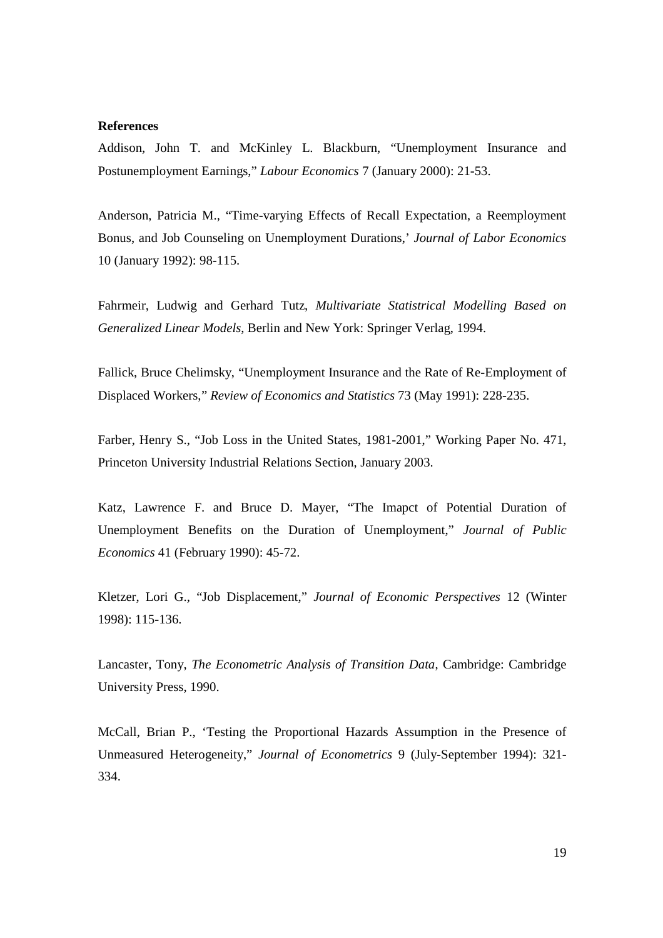#### **References**

Addison, John T. and McKinley L. Blackburn, "Unemployment Insurance and Postunemployment Earnings," *Labour Economics* 7 (January 2000): 21-53.

Anderson, Patricia M., "Time-varying Effects of Recall Expectation, a Reemployment Bonus, and Job Counseling on Unemployment Durations,' *Journal of Labor Economics* 10 (January 1992): 98-115.

Fahrmeir, Ludwig and Gerhard Tutz, *Multivariate Statistrical Modelling Based on Generalized Linear Models*, Berlin and New York: Springer Verlag, 1994.

Fallick, Bruce Chelimsky, "Unemployment Insurance and the Rate of Re-Employment of Displaced Workers," *Review of Economics and Statistics* 73 (May 1991): 228-235.

Farber, Henry S., "Job Loss in the United States, 1981-2001," Working Paper No. 471, Princeton University Industrial Relations Section, January 2003.

Katz, Lawrence F. and Bruce D. Mayer, "The Imapct of Potential Duration of Unemployment Benefits on the Duration of Unemployment," *Journal of Public Economics* 41 (February 1990): 45-72.

Kletzer, Lori G., "Job Displacement," *Journal of Economic Perspectives* 12 (Winter 1998): 115-136.

Lancaster, Tony, *The Econometric Analysis of Transition Data*, Cambridge: Cambridge University Press, 1990.

McCall, Brian P., 'Testing the Proportional Hazards Assumption in the Presence of Unmeasured Heterogeneity," *Journal of Econometrics* 9 (July-September 1994): 321- 334.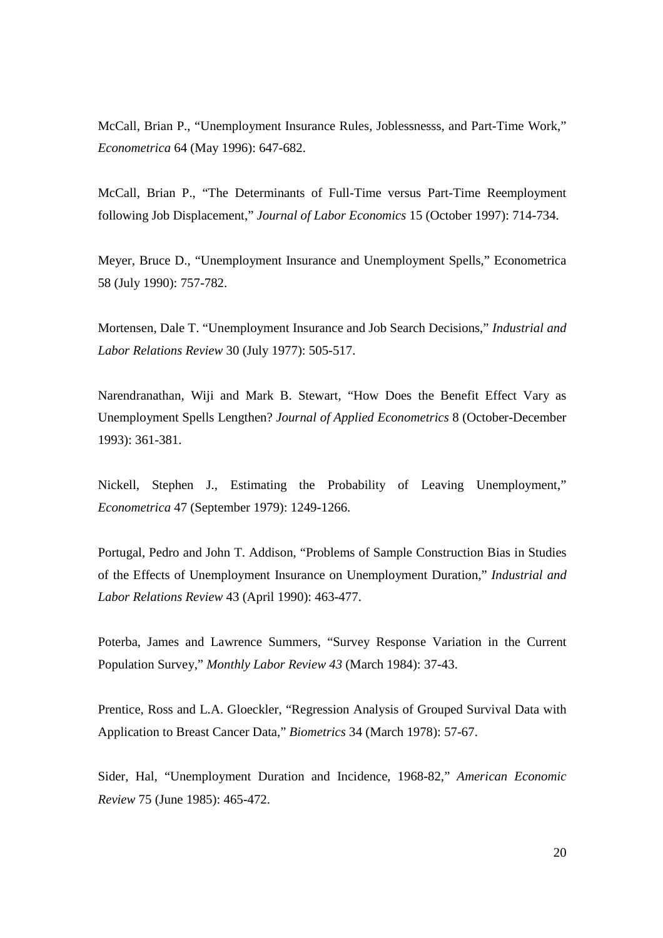McCall, Brian P., "Unemployment Insurance Rules, Joblessnesss, and Part-Time Work," *Econometrica* 64 (May 1996): 647-682.

McCall, Brian P., "The Determinants of Full-Time versus Part-Time Reemployment following Job Displacement," *Journal of Labor Economics* 15 (October 1997): 714-734.

Meyer, Bruce D., "Unemployment Insurance and Unemployment Spells," Econometrica 58 (July 1990): 757-782.

Mortensen, Dale T. "Unemployment Insurance and Job Search Decisions," *Industrial and Labor Relations Review* 30 (July 1977): 505-517.

Narendranathan, Wiji and Mark B. Stewart, "How Does the Benefit Effect Vary as Unemployment Spells Lengthen? *Journal of Applied Econometrics* 8 (October-December 1993): 361-381.

Nickell, Stephen J., Estimating the Probability of Leaving Unemployment," *Econometrica* 47 (September 1979): 1249-1266.

Portugal, Pedro and John T. Addison, "Problems of Sample Construction Bias in Studies of the Effects of Unemployment Insurance on Unemployment Duration," *Industrial and Labor Relations Review* 43 (April 1990): 463-477.

Poterba, James and Lawrence Summers, "Survey Response Variation in the Current Population Survey," *Monthly Labor Review 43* (March 1984): 37-43.

Prentice, Ross and L.A. Gloeckler, "Regression Analysis of Grouped Survival Data with Application to Breast Cancer Data," *Biometrics* 34 (March 1978): 57-67.

Sider, Hal, "Unemployment Duration and Incidence, 1968-82," *American Economic Review* 75 (June 1985): 465-472.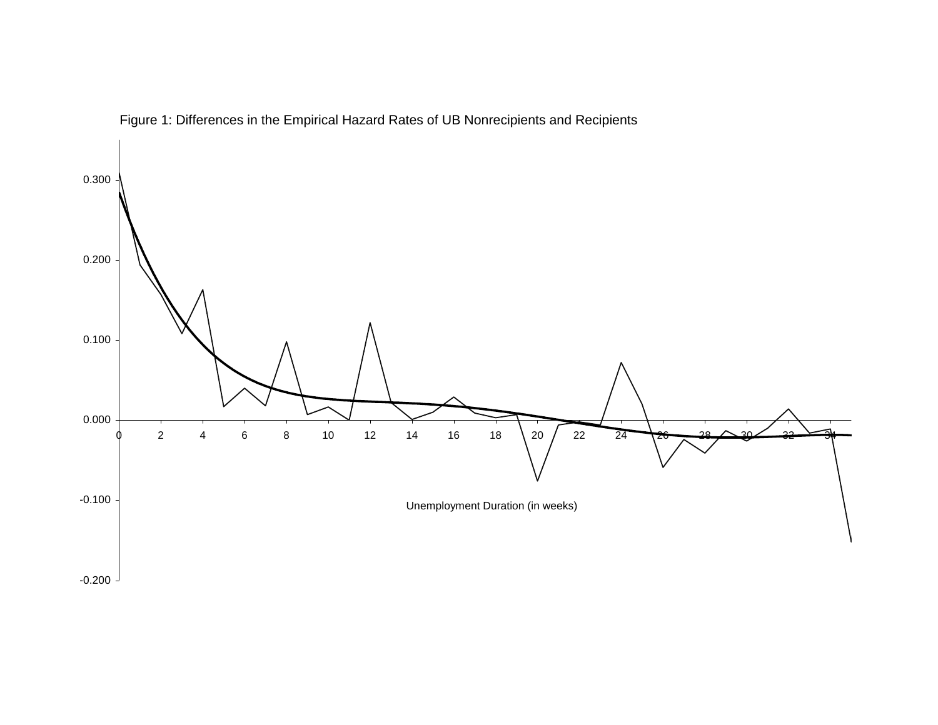

Figure 1: Differences in the Empirical Hazard Rates of UB Nonrecipients and Recipients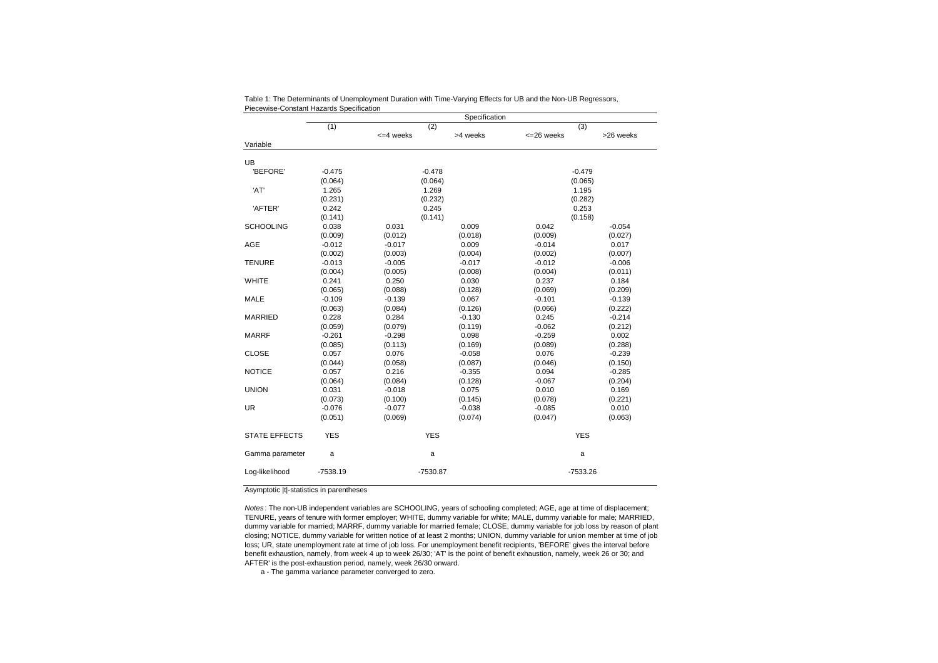|                      | <b>I ICCCWISC-COISLAIR FRAGIUS OPCITICATULE</b><br>Specification |            |            |             |           |  |  |
|----------------------|------------------------------------------------------------------|------------|------------|-------------|-----------|--|--|
|                      | (1)                                                              | (2)        |            | (3)         |           |  |  |
|                      |                                                                  | $=4$ weeks | >4 weeks   | <= 26 weeks | >26 weeks |  |  |
| Variable             |                                                                  |            |            |             |           |  |  |
| <b>UB</b>            |                                                                  |            |            |             |           |  |  |
| 'BEFORE'             | $-0.475$                                                         |            | $-0.478$   | $-0.479$    |           |  |  |
|                      | (0.064)                                                          |            | (0.064)    | (0.065)     |           |  |  |
| 'AT'                 | 1.265                                                            | 1.269      |            | 1.195       |           |  |  |
|                      | (0.231)                                                          |            | (0.232)    | (0.282)     |           |  |  |
| 'AFTER'              | 0.242                                                            | 0.245      |            | 0.253       |           |  |  |
|                      | (0.141)                                                          |            | (0.141)    |             | (0.158)   |  |  |
| <b>SCHOOLING</b>     | 0.038                                                            | 0.031      | 0.009      | 0.042       | $-0.054$  |  |  |
|                      | (0.009)                                                          | (0.012)    | (0.018)    | (0.009)     | (0.027)   |  |  |
| AGE                  | $-0.012$                                                         | $-0.017$   | 0.009      | $-0.014$    | 0.017     |  |  |
|                      | (0.002)                                                          | (0.003)    | (0.004)    | (0.002)     | (0.007)   |  |  |
| <b>TENURE</b>        | $-0.013$                                                         | $-0.005$   | $-0.017$   | $-0.012$    | $-0.006$  |  |  |
|                      | (0.004)                                                          | (0.005)    | (0.008)    | (0.004)     | (0.011)   |  |  |
| <b>WHITE</b>         | 0.241                                                            | 0.250      | 0.030      | 0.237       | 0.184     |  |  |
|                      | (0.065)                                                          | (0.088)    | (0.128)    | (0.069)     | (0.209)   |  |  |
| <b>MALE</b>          | $-0.109$                                                         | $-0.139$   | 0.067      | $-0.101$    | $-0.139$  |  |  |
|                      | (0.063)                                                          | (0.084)    | (0.126)    | (0.066)     | (0.222)   |  |  |
| <b>MARRIED</b>       | 0.228                                                            | 0.284      | $-0.130$   | 0.245       | $-0.214$  |  |  |
|                      | (0.059)                                                          | (0.079)    | (0.119)    | $-0.062$    | (0.212)   |  |  |
| <b>MARRF</b>         | $-0.261$                                                         | $-0.298$   | 0.098      | $-0.259$    | 0.002     |  |  |
|                      | (0.085)                                                          | (0.113)    | (0.169)    | (0.089)     | (0.288)   |  |  |
| <b>CLOSE</b>         | 0.057                                                            | 0.076      | $-0.058$   | 0.076       | $-0.239$  |  |  |
|                      | (0.044)                                                          | (0.058)    | (0.087)    | (0.046)     | (0.150)   |  |  |
| <b>NOTICE</b>        | 0.057                                                            | 0.216      | $-0.355$   | 0.094       | $-0.285$  |  |  |
|                      | (0.064)                                                          | (0.084)    | (0.128)    | $-0.067$    | (0.204)   |  |  |
| <b>UNION</b>         | 0.031                                                            | $-0.018$   | 0.075      | 0.010       | 0.169     |  |  |
|                      | (0.073)                                                          | (0.100)    | (0.145)    | (0.078)     | (0.221)   |  |  |
| <b>UR</b>            | $-0.076$                                                         | $-0.077$   | $-0.038$   | $-0.085$    | 0.010     |  |  |
|                      | (0.051)                                                          | (0.069)    | (0.074)    | (0.047)     | (0.063)   |  |  |
| <b>STATE EFFECTS</b> | <b>YES</b>                                                       |            | <b>YES</b> | <b>YES</b>  |           |  |  |
| Gamma parameter      | a                                                                |            | a          | a           |           |  |  |
| Log-likelihood       | $-7538.19$                                                       | -7530.87   |            | $-7533.26$  |           |  |  |

Table 1: The Determinants of Unemployment Duration with Time-Varying Effects for UB and the Non-UB Regressors, Piecewise-Constant Hazards Specification

Asymptotic |t|-statistics in parentheses

Notes : The non-UB independent variables are SCHOOLING, years of schooling completed; AGE, age at time of displacement; TENURE, years of tenure with former employer; WHITE, dummy variable for white; MALE, dummy variable for male; MARRIED, dummy variable for married; MARRF, dummy variable for married female; CLOSE, dummy variable for job loss by reason of plant closing; NOTICE, dummy variable for written notice of at least 2 months; UNION, dummy variable for union member at time of job loss; UR, state unemployment rate at time of job loss. For unemployment benefit recipients, 'BEFORE' gives the interval before benefit exhaustion, namely, from week 4 up to week 26/30; 'AT' is the point of benefit exhaustion, namely, week 26 or 30; and AFTER' is the post-exhaustion period, namely, week 26/30 onward.

a - The gamma variance parameter converged to zero.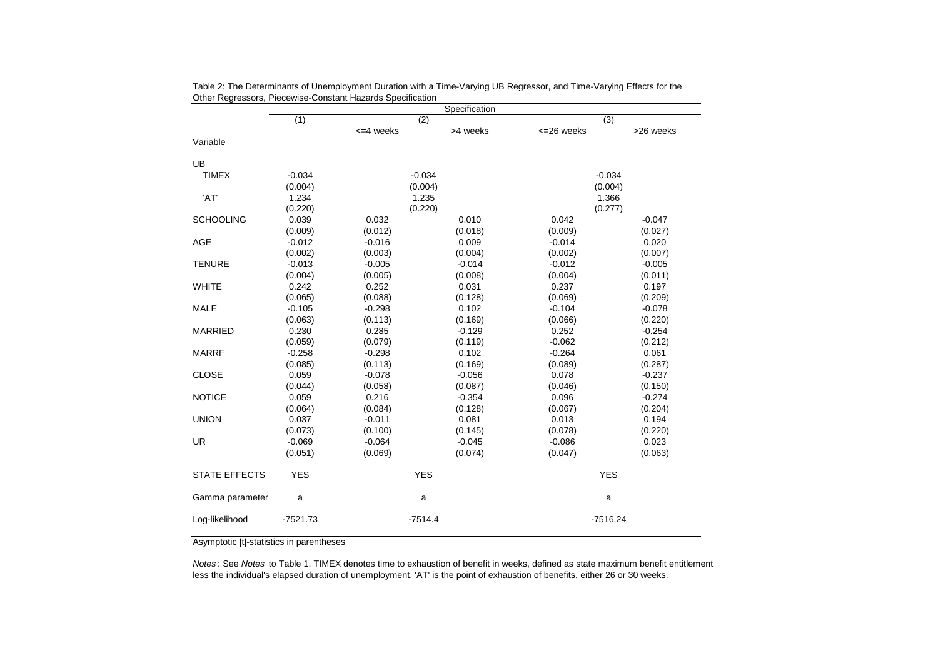|                      | Specification |                  |          |             |           |
|----------------------|---------------|------------------|----------|-------------|-----------|
|                      | (1)           | (2)              |          | (3)         |           |
|                      |               | $\leq$ 4 weeks   | >4 weeks | <= 26 weeks | >26 weeks |
| Variable             |               |                  |          |             |           |
| UB                   |               |                  |          |             |           |
| <b>TIMEX</b>         | $-0.034$      |                  | $-0.034$ | $-0.034$    |           |
|                      | (0.004)       | (0.004)          |          | (0.004)     |           |
| 'AT'                 | 1.234         | 1.235<br>(0.220) |          | 1.366       |           |
|                      | (0.220)       |                  |          | (0.277)     |           |
| <b>SCHOOLING</b>     | 0.039         | 0.032            | 0.010    | 0.042       | $-0.047$  |
|                      | (0.009)       | (0.012)          | (0.018)  | (0.009)     | (0.027)   |
| AGE                  | $-0.012$      | $-0.016$         | 0.009    | $-0.014$    | 0.020     |
|                      | (0.002)       | (0.003)          | (0.004)  | (0.002)     | (0.007)   |
| <b>TENURE</b>        | $-0.013$      | $-0.005$         | $-0.014$ | $-0.012$    | $-0.005$  |
|                      | (0.004)       | (0.005)          | (0.008)  | (0.004)     | (0.011)   |
| <b>WHITE</b>         | 0.242         | 0.252            | 0.031    | 0.237       | 0.197     |
|                      | (0.065)       | (0.088)          | (0.128)  | (0.069)     | (0.209)   |
| <b>MALE</b>          | $-0.105$      | $-0.298$         | 0.102    | $-0.104$    | $-0.078$  |
|                      | (0.063)       | (0.113)          | (0.169)  | (0.066)     | (0.220)   |
| <b>MARRIED</b>       | 0.230         | 0.285            | $-0.129$ | 0.252       | $-0.254$  |
|                      | (0.059)       | (0.079)          | (0.119)  | $-0.062$    | (0.212)   |
| <b>MARRF</b>         | $-0.258$      | $-0.298$         | 0.102    | $-0.264$    | 0.061     |
|                      | (0.085)       | (0.113)          | (0.169)  | (0.089)     | (0.287)   |
| <b>CLOSE</b>         | 0.059         | $-0.078$         | $-0.056$ | 0.078       | $-0.237$  |
|                      | (0.044)       | (0.058)          | (0.087)  | (0.046)     | (0.150)   |
| <b>NOTICE</b>        | 0.059         | 0.216            | $-0.354$ | 0.096       | $-0.274$  |
|                      | (0.064)       | (0.084)          | (0.128)  | (0.067)     | (0.204)   |
| <b>UNION</b>         | 0.037         | $-0.011$         | 0.081    | 0.013       | 0.194     |
|                      | (0.073)       | (0.100)          | (0.145)  | (0.078)     | (0.220)   |
| <b>UR</b>            | $-0.069$      | $-0.064$         | $-0.045$ | $-0.086$    | 0.023     |
|                      | (0.051)       | (0.069)          | (0.074)  | (0.047)     | (0.063)   |
| <b>STATE EFFECTS</b> | <b>YES</b>    | <b>YES</b>       |          | <b>YES</b>  |           |
| Gamma parameter      | a             |                  | a        | a           |           |
| Log-likelihood       | $-7521.73$    | $-7514.4$        |          | $-7516.24$  |           |

| Table 2: The Determinants of Unemployment Duration with a Time-Varying UB Regressor, and Time-Varying Effects for the |  |
|-----------------------------------------------------------------------------------------------------------------------|--|
| Other Regressors, Piecewise-Constant Hazards Specification                                                            |  |

Asymptotic |t|-statistics in parentheses

Notes : See Notes to Table 1. TIMEX denotes time to exhaustion of benefit in weeks, defined as state maximum benefit entitlement less the individual's elapsed duration of unemployment. 'AT' is the point of exhaustion of benefits, either 26 or 30 weeks.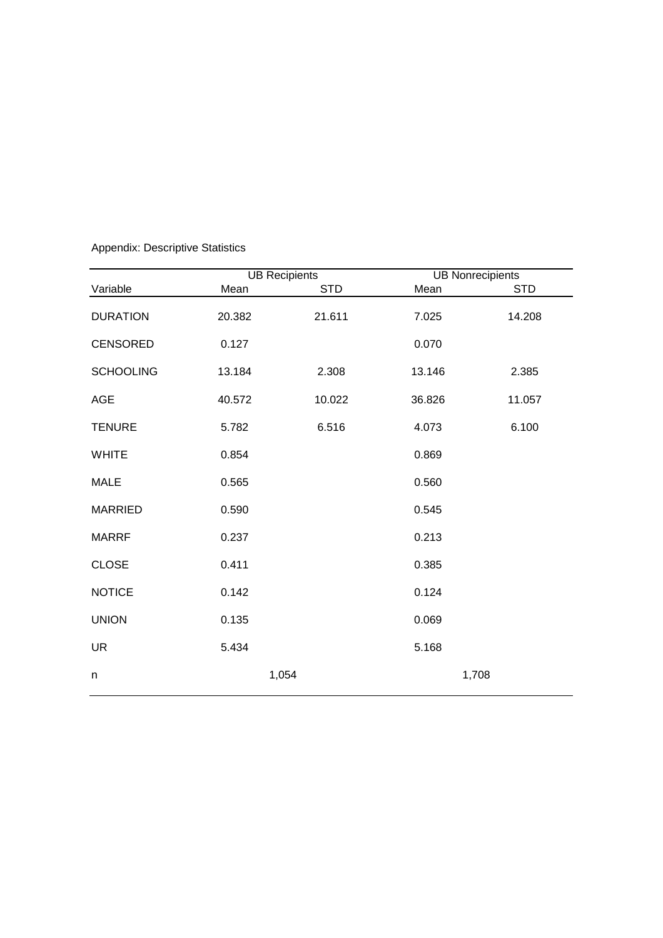|                  |        | <b>UB Recipients</b> | <b>UB Nonrecipients</b> |            |
|------------------|--------|----------------------|-------------------------|------------|
| Variable         | Mean   | <b>STD</b>           | Mean                    | <b>STD</b> |
| <b>DURATION</b>  | 20.382 | 21.611               | 7.025                   | 14.208     |
| <b>CENSORED</b>  | 0.127  |                      | 0.070                   |            |
| <b>SCHOOLING</b> | 13.184 | 2.308                | 13.146                  | 2.385      |
| <b>AGE</b>       | 40.572 | 10.022               | 36.826                  | 11.057     |
| <b>TENURE</b>    | 5.782  | 6.516                | 4.073                   | 6.100      |
| <b>WHITE</b>     | 0.854  |                      | 0.869                   |            |
| <b>MALE</b>      | 0.565  |                      | 0.560                   |            |
| <b>MARRIED</b>   | 0.590  |                      | 0.545                   |            |
| <b>MARRF</b>     | 0.237  |                      | 0.213                   |            |
| <b>CLOSE</b>     | 0.411  |                      | 0.385                   |            |
| <b>NOTICE</b>    | 0.142  |                      | 0.124                   |            |
| <b>UNION</b>     | 0.135  |                      | 0.069                   |            |
| <b>UR</b>        | 5.434  |                      | 5.168                   |            |
| n                |        | 1,054                | 1,708                   |            |

Appendix: Descriptive Statistics